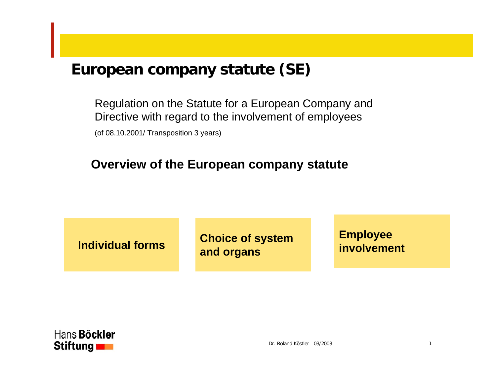Regulation on the Statute for a European Company and Directive with regard to the involvement of employees

(of 08.10.2001/ Transpositi on 3 years)

#### **Overview of the European company statute**

**Choice of system and organs Individual forms**

**Employee involvement**

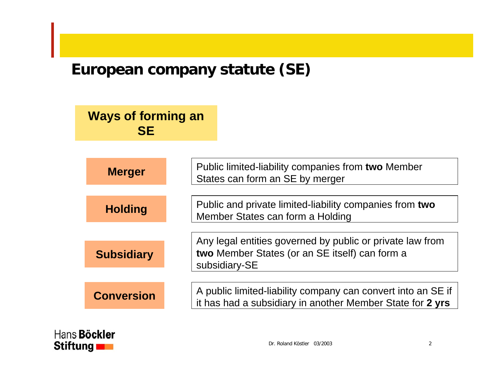## **Ways of forming an SE**

| <b>Merger</b>     | Public limited-liability companies from two Member<br>States can form an SE by merger                                     |
|-------------------|---------------------------------------------------------------------------------------------------------------------------|
|                   |                                                                                                                           |
| <b>Holding</b>    | Public and private limited-liability companies from two<br>Member States can form a Holding                               |
|                   |                                                                                                                           |
|                   | Any legal entities governed by public or private law from                                                                 |
| <b>Subsidiary</b> | two Member States (or an SE itself) can form a<br>subsidiary-SE                                                           |
|                   |                                                                                                                           |
| <b>Conversion</b> | A public limited-liability company can convert into an SE if<br>it has had a subsidiary in another Member State for 2 yrs |

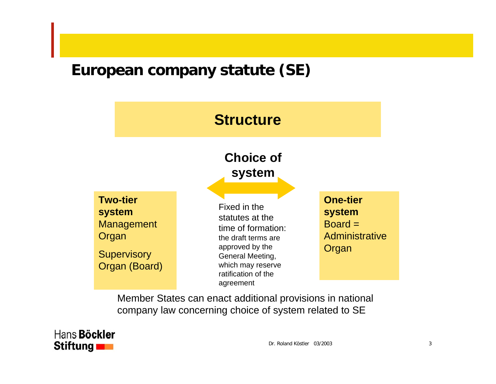# **Structure**

#### **Choice of system**

**Two-tier system** Management **Organ Supervisory** Organ ( Board)

Fixed in the statutes at the time of formation: the draft terms are approved by the General Meeting, which may reserve ratification of the agreement

**One-tier system**  $Board =$ **Administrative** Organ

Member States can enact additional provisions in national company law concerning choice of system related to S E

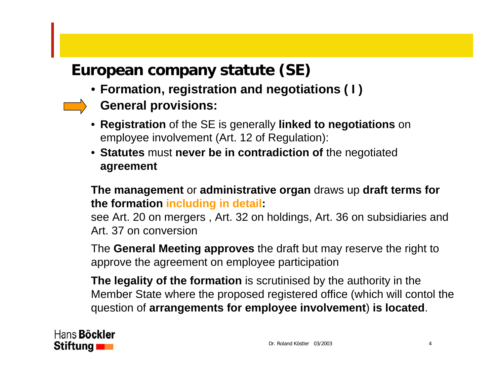- **Formation, registration and negotiations ( I )**
- **Gener al provisions:**
- **Registration** of the SE is generally **linked to negotiations** on employee involvement (Art. 12 of Regulation):
- **Statutes** must **never be in contradiction of** the negotiated **agreement**

**The management** or **administrative organ** draws up **draft terms for the formation including in detail:**

see Art. 20 on mergers , Art. 32 on holdings, Art. 36 on subsidiaries and Art. 37 on conversion

The **General Meeting approves** the draft but may reserve the right to approve the agreement on employee participation

**The legality of the formation** is scrutinised by the authority in the Member State where the proposed registered office (which will contol the question of **arrangements for employee involvement**) **is located**.

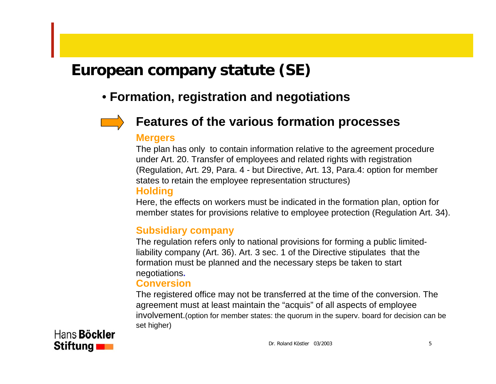## • **Formation, registration and negotiations**



#### **Features of the various formation processes**

#### **Merger s**

The plan has only to contain information relative to the agreement procedure under Art. 20. Transfer of employees and related rights with registration (Regulation, Art. 29, Para. 4 - but Directive, Art. 13, Para.4: option for member states to retain the employee representation structures)

#### **Holding**

Here, the effects on workers must be indicated in the formation plan, option for member states for provisions relative to employee protection (Regulation Art. 34).

#### **Subsidiary company**

The regulation refers only to national provisions for forming a public limitedliability company (Art. 36). Art. 3 sec. 1 of the Directive stipulates that the formation must be planned and the necessary steps be taken to start negotiations**.**

#### **Conversion**

The registered office may not be transferred at the time of the conversion. The agreem ent m ust at least m aintain the "acquis" of all aspects of employee involvement. (option for member states: the quorum in the superv. board for decision can be set higher)

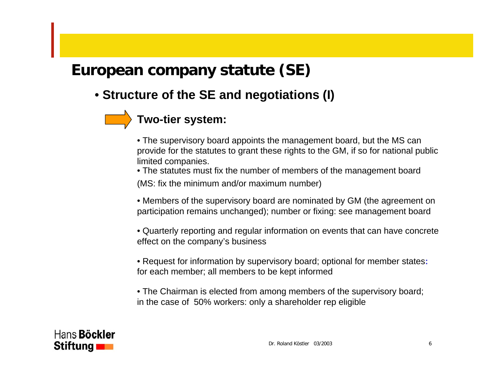• **Structure of the SE and negotiations (I)**

## **Two-tier system:**

- The supervisory board appoints the management board, but the MS can provide for the statutes to grant these rights to the GM, if so for national public limited companies.
- The statutes must fix the number of members of the management board (MS: fix the minimum and/or maximum number)
- Members of the supervisory board are nominated by GM (the agreement on participation remains unchanged); number or fixing: see management board
- Quarterly reporting and regular information on events that can have concrete effect on the co mpany's business
- Request for information by supervisory board; optional for member states**:** for each member; all members to be kept informed
- The Chairman is elected from among members of the supervisory board; in the case of 50% workers: only a shareholder rep eligible

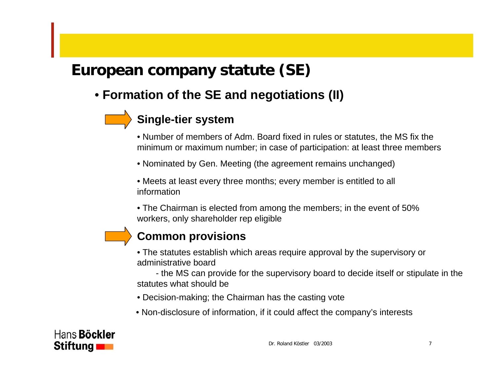## • **Formation of the SE and neg otiations (II)**

## **Single-tier system**

• Number of members of Adm. Board fixed in rules or statutes, the MS fix the minimum or maximum number; in case of participation: at least three members

• Nominated by Gen. Meeting (the agreement remains unchanged)

• Meets at least every three months; every member is entitled to all information

• The Chairman is elected from am ong the members; in the event of 50% workers, only shareholder rep eligible

#### **Common provisions**

• The statutes establish which areas require approval by the supervisory or administrative board

- the MS can provide for the supervisory board to decide itself or stipulate in the statutes what should be

• Decision-making; the Chairman has the casting vote

 $\bullet$  Non-disclosure of information, if it could affect the company's interests

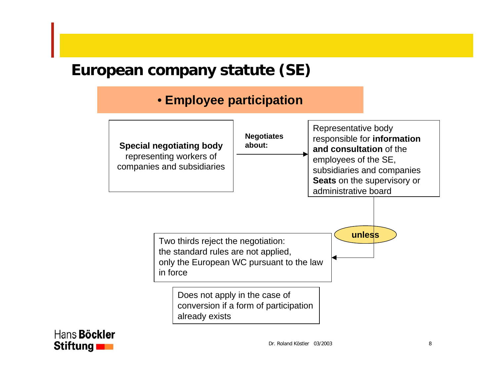#### • **Employee participation**



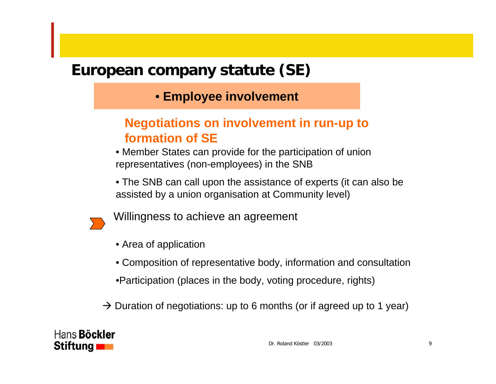## • **Employee involvement**

## **Negotiations on involvement in run-up to formation of SE**

• Member States can provide for the participation of union representatives (non-employees) in the SNB

• The SNB can call upon the assistance of experts (it can also be assisted by a union organisation at Community level)



Willingness to achieve an agreement

- Area of application
- Composition of representative body, infor mation and consultation
- •Participation (places in the body, voting procedure, rights)
- $\rightarrow$  Duration of negotiations: up to 6 months (or if agreed up to 1 year)

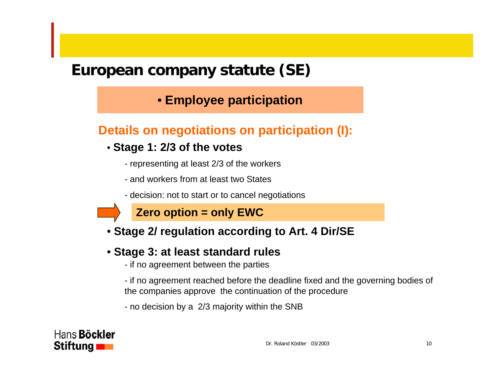#### • **Employee participation**

#### **Details on negotiations on participation (I):**

#### • **Stage 1: 2/3 of the votes**

- representing at least 2/3 of the workers
- and workers from at least two States
- decision: not to start or to cancel negotiations

## **Zero option = only EWC**

• **Stage 2/ regulation according to Art. 4 Dir/SE**

#### • **Stage 3: at least standard rules**

- if no agreement between the parties

- if no agreement reached before the deadline fixed and the governing bodies of the companies approve the continuation of the procedure

- no decision by a 2/3 majority within the SN B

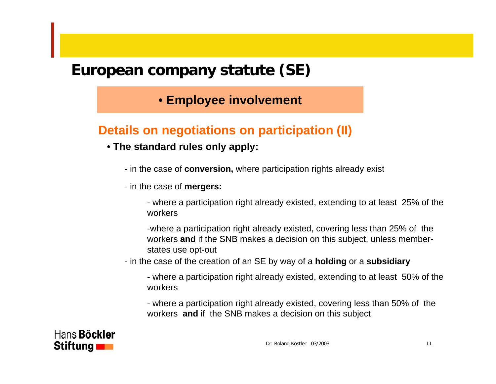#### • **Employee involvement**

#### **Details on negotia tions on participation (II)**

- **The standard rules only apply:**
	- in the case of **conversion,** where participation rights already exist
	- in the case of **mergers:**

- where a participation right already existed, extending to at least 25% of the workers

-where a participation right already existed, covering less than 25% of the workers **and** if the SNB makes a decision on this subject, unless memberstates use opt-out

- in the case of the creation of an SE by way of a **holding** or a **subsidiary**

- where a participation right already existed, extending to at least 50% of the workers

- where a participation right already existed, covering less than 50% of the workers **and** if the SNB makes a decision on this subject